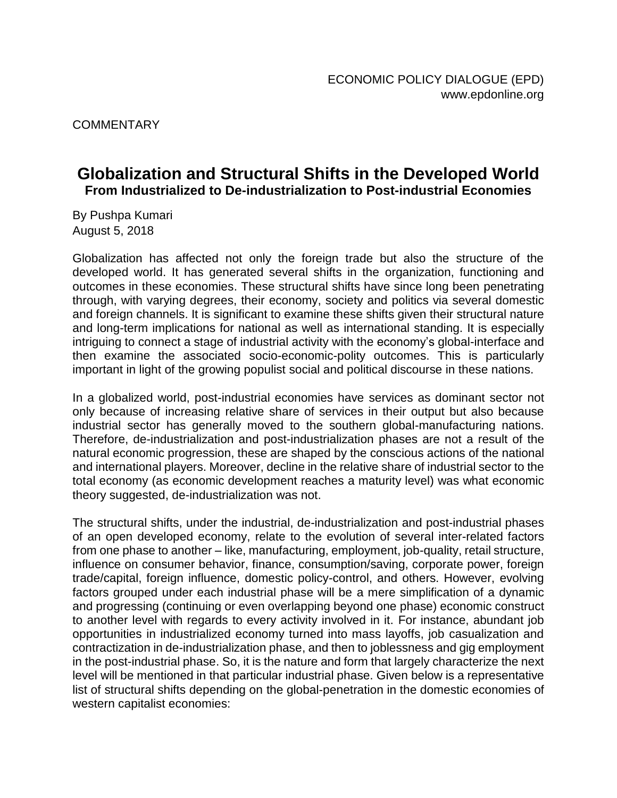**COMMENTARY** 

## **Globalization and Structural Shifts in the Developed World From Industrialized to De-industrialization to Post-industrial Economies**

By Pushpa Kumari August 5, 2018

Globalization has affected not only the foreign trade but also the structure of the developed world. It has generated several shifts in the organization, functioning and outcomes in these economies. These structural shifts have since long been penetrating through, with varying degrees, their economy, society and politics via several domestic and foreign channels. It is significant to examine these shifts given their structural nature and long-term implications for national as well as international standing. It is especially intriguing to connect a stage of industrial activity with the economy's global-interface and then examine the associated socio-economic-polity outcomes. This is particularly important in light of the growing populist social and political discourse in these nations.

In a globalized world, post-industrial economies have services as dominant sector not only because of increasing relative share of services in their output but also because industrial sector has generally moved to the southern global-manufacturing nations. Therefore, de-industrialization and post-industrialization phases are not a result of the natural economic progression, these are shaped by the conscious actions of the national and international players. Moreover, decline in the relative share of industrial sector to the total economy (as economic development reaches a maturity level) was what economic theory suggested, de-industrialization was not.

The structural shifts, under the industrial, de-industrialization and post-industrial phases of an open developed economy, relate to the evolution of several inter-related factors from one phase to another – like, manufacturing, employment, job-quality, retail structure, influence on consumer behavior, finance, consumption/saving, corporate power, foreign trade/capital, foreign influence, domestic policy-control, and others. However, evolving factors grouped under each industrial phase will be a mere simplification of a dynamic and progressing (continuing or even overlapping beyond one phase) economic construct to another level with regards to every activity involved in it. For instance, abundant job opportunities in industrialized economy turned into mass layoffs, job casualization and contractization in de-industrialization phase, and then to joblessness and gig employment in the post-industrial phase. So, it is the nature and form that largely characterize the next level will be mentioned in that particular industrial phase. Given below is a representative list of structural shifts depending on the global-penetration in the domestic economies of western capitalist economies: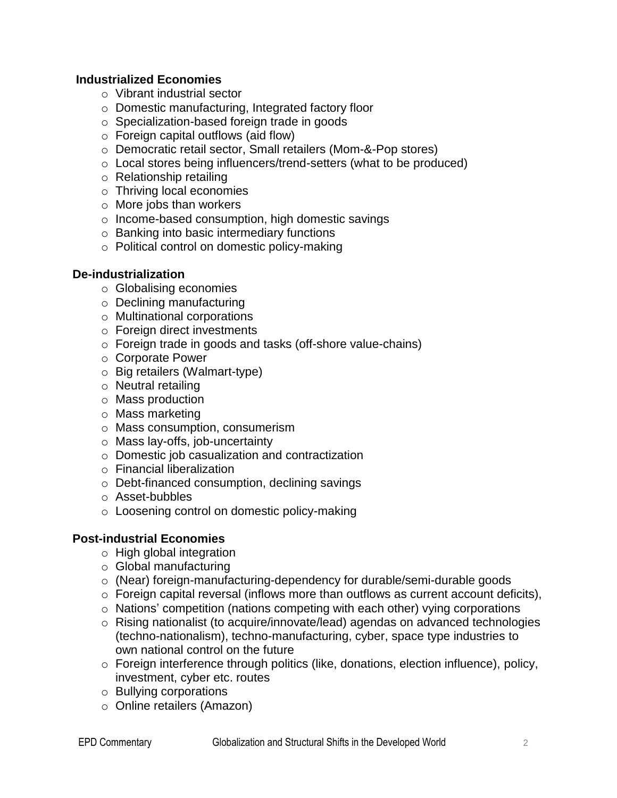## **Industrialized Economies**

- o Vibrant industrial sector
- o Domestic manufacturing, Integrated factory floor
- o Specialization-based foreign trade in goods
- $\circ$  Foreign capital outflows (aid flow)
- o Democratic retail sector, Small retailers (Mom-&-Pop stores)
- o Local stores being influencers/trend-setters (what to be produced)
- o Relationship retailing
- o Thriving local economies
- o More jobs than workers
- o Income-based consumption, high domestic savings
- o Banking into basic intermediary functions
- o Political control on domestic policy-making

## **De-industrialization**

- o Globalising economies
- o Declining manufacturing
- o Multinational corporations
- o Foreign direct investments
- o Foreign trade in goods and tasks (off-shore value-chains)
- o Corporate Power
- o Big retailers (Walmart-type)
- o Neutral retailing
- o Mass production
- o Mass marketing
- o Mass consumption, consumerism
- o Mass lay-offs, job-uncertainty
- o Domestic job casualization and contractization
- o Financial liberalization
- o Debt-financed consumption, declining savings
- o Asset-bubbles
- o Loosening control on domestic policy-making

## **Post-industrial Economies**

- o High global integration
- o Global manufacturing
- o (Near) foreign-manufacturing-dependency for durable/semi-durable goods
- o Foreign capital reversal (inflows more than outflows as current account deficits),
- o Nations' competition (nations competing with each other) vying corporations
- o Rising nationalist (to acquire/innovate/lead) agendas on advanced technologies (techno-nationalism), techno-manufacturing, cyber, space type industries to own national control on the future
- o Foreign interference through politics (like, donations, election influence), policy, investment, cyber etc. routes
- o Bullying corporations
- o Online retailers (Amazon)